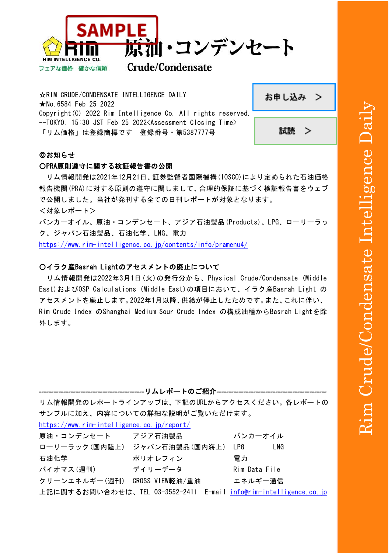

## **Crude/Condensate**

☆RIM CRUDE/CONDENSATE INTELLIGENCE DAILY ★No.6584 Feb 25 2022 Copyright(C) 2022 Rim Intelligence Co. All rights reserved. --TOKYO, 15:30 JST Feb 25 2022<Assessment Closing Time> 「リム価格」は登録商標です 登録番号・第5387777号

| お申し込み |
|-------|
|-------|



## ◎お知らせ

フェアな価格 確かな信頼

#### ○PRA原則遵守に関する検証報告書の公開

リム情報開発は2021年12月21日、証券監督者国際機構(IOSCO)により定められた石油価格 報告機関(PRA)に対する原則の遵守に関しまして、合理的保証に基づく検証報告書をウェブ で公開しました。当社が発刊する全ての日刊レポートが対象となります。 <対象レポート>

バンカーオイル、原油・コンデンセート、アジア石油製品(Products)、LPG、ローリーラッ ク、ジャパン石油製品、石油化学、LNG、電力

<https://www.rim-intelligence.co.jp/contents/info/pramenu4/>

### ○イラク産Basrah Lightのアセスメントの廃止について

 リム情報開発は2022年3月1日(火)の発行分から、Physical Crude/Condensate (Middle East)およびOSP Calculations (Middle East)の項目において、イラク産Basrah Light の アセスメントを廃止します。2022年1月以降、供給が停止したためです。また、これに伴い、 Rim Crude Index のShanghai Medium Sour Crude Index の構成油種からBasrah Lightを除 外します。

| リム情報開発のレポートラインアップは、下記のURLからアクセスください。各レポートの                               |                                |               |  |  |
|--------------------------------------------------------------------------|--------------------------------|---------------|--|--|
|                                                                          | サンプルに加え、内容についての詳細な説明がご覧いただけます。 |               |  |  |
| https://www.rim-intelligence.co.jp/report/                               |                                |               |  |  |
| 原油・コンデンセート アジア石油製品                                                       |                                | バンカーオイル       |  |  |
|                                                                          | ローリーラック(国内陸上) ジャパン石油製品(国内海上)   | LPG<br>LNG    |  |  |
| 石油化学                                                                     | ポリオレフィン                        | 電力            |  |  |
| バイオマス(週刊)                                                                | デイリーデータ                        | Rim Data File |  |  |
|                                                                          | クリーンエネルギー(週刊) CROSS VIEW軽油/重油  | エネルギー通信       |  |  |
| 上記に関するお問い合わせは、TEL 03-3552-2411 E-mail <u>info@rim-intelligence.co.jp</u> |                                |               |  |  |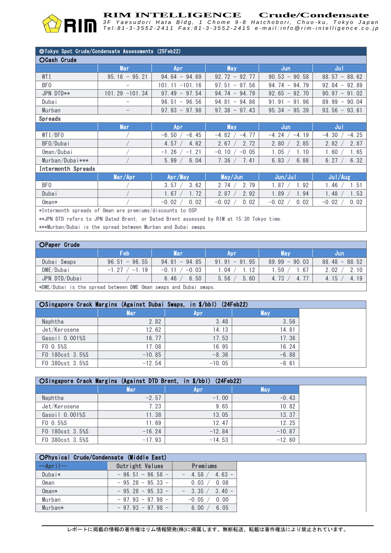Tel:81-3-3552-2411 Fax:81-3-3552-2415 e-mail:info @rim-intelligence.co.jp

### ◎Tokyo Spot Crude/Condensate Assessments (25Feb22)

| OCash Crude        |                   |                                            |                                            |                       |                    |
|--------------------|-------------------|--------------------------------------------|--------------------------------------------|-----------------------|--------------------|
|                    | <b>Mar</b>        | Apr                                        | <b>May</b>                                 | Jun                   | Jul                |
| WTI                | $95.16 - 95.21$   | $94.64 - 94.69$                            | 92.72<br>$-92.77$                          | 90.53<br>$-90.58$     | $88.57 - 88.62$    |
| BF <sub>0</sub>    |                   | $-101.16$<br>101.11                        | 97.56<br>97.51<br>$\overline{\phantom{m}}$ | 94.74<br>$-94.79$     | $92.84 - 92.89$    |
| JPN DTD**          | $101.29 - 101.34$ | 97.54<br>97.49<br>$\overline{\phantom{m}}$ | 94.74<br>$-94.79$                          | $-92.70$<br>92.65     | 90.97<br>$-91.02$  |
| <b>Dubai</b>       |                   | 96.51<br>96.56<br>$\overline{\phantom{m}}$ | 94.86<br>94.81<br>$-$                      | 91.96<br>91.91<br>$-$ | 89.99<br>$-90.04$  |
| Murban             |                   | $-97.98$<br>97.93                          | $97.38 - 97.43$                            | $95.34 - 95.39$       | $93.56 - 93.61$    |
| <b>Spreads</b>     |                   |                                            |                                            |                       |                    |
|                    | <b>Mar</b>        | Apr                                        | <b>May</b>                                 | Jun                   | Jul                |
| WTI/BFO            |                   | $-6.45$<br>$-6.50$                         | $-4.77$<br>$-4.82$                         | $-4.24$<br>$-4.19$    | $-4.25$<br>$-4.30$ |
| BF0/Dubai          |                   | 4.62<br>4.57                               | 2.72<br>2.67                               | 2.85<br>2.80          | 2.87<br>2.82       |
| Oman/Dubai         |                   | $-1.26$<br>$-1.21$                         | $-0.10$<br>$-0.05$                         | 1.05<br>1.10          | 1.65<br>1.60       |
| Murban/Dubai***    |                   | 6.04<br>5.99                               | 7.41<br>7.36                               | 6.88<br>6.83          | 6.32<br>6.27       |
| Intermonth Spreads |                   |                                            |                                            |                       |                    |

I Intermonth Spreads

| $\cdots$        |         |                 |                 |                 |                 |
|-----------------|---------|-----------------|-----------------|-----------------|-----------------|
|                 | Mar/Apr | Apr/May         | May/Jun         | Jun/Jul         | Jul/Aug         |
| BF <sub>0</sub> |         | 3.57<br>3.62    | 79<br>74        | 92<br>87        | 46              |
| Dubai           |         | 70<br>1.67      | 2.92<br>2.87    | 1.94<br>89      | 48<br>1.53      |
| Oman*           |         | 0.02<br>$-0.02$ | 0.02<br>$-0.02$ | 0.02<br>$-0.02$ | $-0.02$<br>0.02 |
|                 |         |                 |                 |                 |                 |

\*Intermonth spreads of Oman are premiums/discounts to OSP.

\*\*JPN DTD refers to JPN Dated Brent, or Dated Brent assessed by RIM at 15:30 Tokyo time.

\*\*\*Murban/Dubai is the spread between Murban and Dubai swaps.

| OPaper Crude                                                    |                     |                    |                   |                 |                 |
|-----------------------------------------------------------------|---------------------|--------------------|-------------------|-----------------|-----------------|
|                                                                 | Feb                 | Mar                | Apr               | 'May            | /Jun            |
| Dubai Swaps                                                     | $96.51 - 96.55$     | $94.81 - 94.85$    | $-91.95$<br>91.91 | $89.99 - 90.03$ | $88.48 - 88.52$ |
| DME/Dubai                                                       | .19<br>$-1$<br>$-1$ | $-0.03$<br>$-0.11$ | 12<br>. 04        | 67<br>. 59      | 2.10<br>2.02    |
| JPN DTD/Dubai                                                   |                     | 6.50<br>6.46       | 5.60<br>5.56      | 4.73<br>4.      | 4.19<br>4.15    |
| uDME/Dubei is the enread between DME Oman eweng and Dubei eweng |                     |                    |                   |                 |                 |

\*DME/Dubai is the spread between DME Oman swaps and Dubai swaps.

|                 | OSingapore Crack Margins (Against Dubai Swaps, in \$/bbl) (24Feb22) |          |         |
|-----------------|---------------------------------------------------------------------|----------|---------|
|                 | <b>Mar</b>                                                          | Apr      | May     |
| Naphtha         | 2.82                                                                | 3.48     | 3.56    |
| Jet/Kerosene    | 12.62                                                               | 14.13    | 14.81   |
| Gasoil 0.001%S  | 16.77                                                               | 17.53    | 17.36   |
| FO 0.5%S        | 17.08                                                               | 16.95    | 16.24   |
| F0 180cst 3.5%S | $-10.85$                                                            | $-8.36$  | $-6.88$ |
| F0 380cst 3.5%S | $-12.54$                                                            | $-10.05$ | $-8.61$ |

|                 | OSingapore Crack Margins (Against DTD Brent, in \$/bbl) (24Feb22) |            |            |
|-----------------|-------------------------------------------------------------------|------------|------------|
|                 | Mar                                                               | <b>Apr</b> | <b>May</b> |
| Naphtha         | $-2.57$                                                           | $-1.00$    | $-0.43$    |
| Jet/Kerosene    | 7.23                                                              | 9.65       | 10.82      |
| Gasoil 0.001%S  | 11.38                                                             | 13.05      | 13.37      |
| FO 0.5%S        | 11.69                                                             | 12.47      | 12.25      |
| F0 180cst 3.5%S | $-16.24$                                                          | $-12.84$   | $-10.87$   |
| F0 380cst 3.5%S | $-17.93$                                                          | $-14.53$   | $-12.60$   |

| OPhysical Crude/Condensate (Middle East)      |                    |                      |  |  |
|-----------------------------------------------|--------------------|----------------------|--|--|
| $-\text{A}\text{pri}$ $\left  \cdots \right $ | Outright Values    | Premiums             |  |  |
| Dubai $*$                                     | $-96.51 - 96.56 -$ | $4.63 -$<br>$-4.58/$ |  |  |
| Oman                                          | $-95.28 - 95.33 -$ | 0.03 /<br>0.08       |  |  |
| $0$ man $*$                                   | $-95.28 - 95.33 -$ | $-$ 3.35 / 3.40 $-$  |  |  |
| Murban                                        | $-97.93 - 97.98 -$ | $-0.05 /$<br>0.00    |  |  |
| Murban*                                       | $-97.93 - 97.98 -$ | 6.05<br>6.00         |  |  |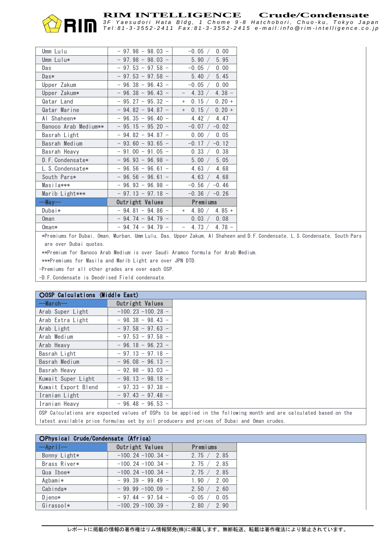

Tel:81-3-3552-2411 Fax:81-3-3552-2415 e-mail:info @rim-intelligence.co.jp

| Umm Lulu             | $-97.98 - 98.03 -$ | 0.00<br>$-0.05 /$            |
|----------------------|--------------------|------------------------------|
| Umm Lulu*            | $-97.98 - 98.03 -$ | 5.95<br>5.90 /               |
| Das                  | $-97.53 - 97.58 -$ | $-0.05 /$<br>0.00            |
| Das*                 | $-97.53 - 97.58 -$ | 5.45<br>5.40 /               |
| Upper Zakum          | $-96.38 - 96.43 -$ | $-0.05 /$<br>0.00            |
| Upper Zakum*         | $-96.38 - 96.43 -$ | 4.33 /<br>$4.38 -$           |
| Qatar Land           | $-95.27 - 95.32 -$ | 0.15 /<br>$0.20 +$<br>$^{+}$ |
| Qatar Marine         | $-94.82 - 94.87 -$ | 0.15 /<br>$0.20 +$<br>$+$    |
| Al Shaheen*          | $-96.35 - 96.40 -$ | 4.42/<br>4.47                |
| Banoco Arab Medium** | $-95.15 - 95.20 -$ | $-0.07$ / $-0.02$            |
| Basrah Light         | $-94.82 - 94.87 -$ | 0.05<br>0.00                 |
| Basrah Medium        | $-93.60 - 93.65 -$ | $-0.17$ / $-0.12$            |
| Basrah Heavy         | $-91.00 - 91.05 -$ | 0.33 /<br>0.38               |
| D. F. Condensate*    | $-96.93 - 96.98 -$ | 5.00 / 5.05                  |
| L. S. Condensate*    | $-96.56 - 96.61 -$ | 4.63 $/$<br>4.68             |
| South Pars*          | $-96.56 - 96.61 -$ | 4.63 / 4.68                  |
| Masila***            | $-96.93 - 96.98 -$ | $-0.56$ / $-0.46$            |
| Marib Light***       | $-97.13 - 97.18 -$ | $-0.36$ / $-0.26$            |
| --May--              |                    |                              |
|                      | Outright Values    | Premiums                     |
| Dubai*               | $-94.81 - 94.86 -$ | 4.80 $/$ 4.85 +<br>$+$       |
| Oman                 | $-94.74 - 94.79 -$ | 0.03 / 0.08                  |

\*Premiums for Dubai, Oman, Murban, Umm Lulu, Das, Upper Zakum, Al Shaheen and D.F.Condensate, L.S.Condensate, South Pars are over Dubai quotes.

\*\*Premium for Banoco Arab Medium is over Saudi Aramco formula for Arab Medium.

\*\*\*Premiums for Masila and Marib Light are over JPN DTD.

-Premiums for all other grades are over each OSP.

-D.F.Condensate is Deodrised Field condensate.

| <b>OOSP Calculations (Middle East)</b>                                                                            |                      |
|-------------------------------------------------------------------------------------------------------------------|----------------------|
| $--March--$                                                                                                       | Outright Values      |
| Arab Super Light                                                                                                  | $-100.23 - 100.28 -$ |
| Arab Extra Light                                                                                                  | $-98.38 - 98.43 -$   |
| Arab Light                                                                                                        | $-97.58 - 97.63 -$   |
| Arab Medium                                                                                                       | $-97.53 - 97.58 -$   |
| Arab Heavy                                                                                                        | $-96.18 - 96.23 -$   |
| Basrah Light                                                                                                      | $-97.13 - 97.18 -$   |
| Basrah Medium                                                                                                     | $-96.08 - 96.13 -$   |
| Basrah Heavy                                                                                                      | $-92.98 - 93.03 -$   |
| Kuwait Super Light                                                                                                | $-98.13 - 98.18 -$   |
| Kuwait Export Blend                                                                                               | $-97.33 - 97.38 -$   |
| Iranian Light                                                                                                     | $-97.43 - 97.48 -$   |
| Iranian Heavy                                                                                                     | $-96.48 - 96.53 -$   |
| OSP Calculations are expected values of OSPs to be applied in the following month and are calculated based on the |                      |

latest available price formulas set by oil producers and prices of Dubai and Oman crudes.

| OPhysical Crude/Condensate (Africa) |                      |                |  |  |
|-------------------------------------|----------------------|----------------|--|--|
| $-\text{Arr}$                       | Outright Values      | Premiums       |  |  |
| Bonny Light*                        | $-100.24 - 100.34 -$ | 2.75 / 2.85    |  |  |
| Brass River*                        | $-100.24 - 100.34 -$ | 2.75 / 2.85    |  |  |
| Qua Iboe*                           | $-100.24 - 100.34 -$ | 2.75 / 2.85    |  |  |
| Agbami*                             | $-99.39 - 99.49 -$   | 1.90 / 2.00    |  |  |
| Cabinda*                            | $-99.99 - 100.09 -$  | 2.50 / 2.60    |  |  |
| $D$ ieno $*$                        | $-97.44 - 97.54 -$   | $-0.05 / 0.05$ |  |  |
| Girassol*                           | $-100.29 - 100.39 -$ | 2.80 /<br>2.90 |  |  |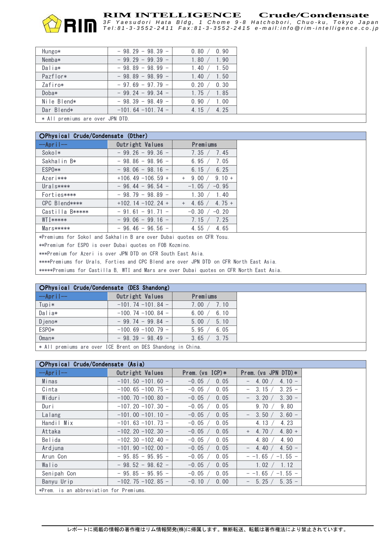Tel:81-3-3552-2411 Fax:81-3-3552-2415 e-mail:info @rim-intelligence.co.jp

| Hungo*      | $-98.29 - 98.39 -$   | 0.80 / 0.90   |
|-------------|----------------------|---------------|
| Nemba*      | $-99, 29 - 99, 39 -$ | 1.90<br>1.80  |
| Dalia*      | $-98.89 - 98.99 -$   | 1.50<br>1.40  |
| Pazflor*    | $-98.89 - 98.99 -$   | 1.40<br>1.50  |
| Zafiro*     | $-97.69 - 97.79 -$   | 0.30<br>0.20  |
| Doba*       | $-99.24 - 99.34 -$   | 1.85<br>1.75/ |
| Nile Blend* | $-98.39 - 98.49 -$   | 1.00<br>0.90  |
| Dar Blend*  | $-101.64 - 101.74 -$ | 4.25<br>4.15  |
|             |                      |               |

\* All premiums are over JPN DTD.

| OPhysical Crude/Condensate (Other)                                                     |                      |                                       |  |  |
|----------------------------------------------------------------------------------------|----------------------|---------------------------------------|--|--|
| $-\text{Apri}$                                                                         | Outright Values      | <b>Premiums</b>                       |  |  |
| Sokol*                                                                                 | $-99.26 - 99.36 -$   | 7.45<br>7.35 /                        |  |  |
| Sakhalin B*                                                                            | $-98.86 - 98.96 -$   | 6.95 $/$<br>7.05                      |  |  |
| ESP0**                                                                                 | $-98.06 - 98.16 -$   | 6.25<br>6.15 $/$                      |  |  |
| Azeri***                                                                               | $+106.49 -106.59 +$  | 9.00 /<br>$9.10 +$<br>$^{+}$          |  |  |
| $Ural$ s****                                                                           | $-96.44 - 96.54 -$   | $-1.05$ / $-0.95$                     |  |  |
| Forties****                                                                            | $-98.79 - 98.89 -$   | 1.30 /<br>1.40                        |  |  |
| CPC Blend****                                                                          | $+102.14 - 102.24 +$ | 4.65 $\sqrt{ }$<br>$4.75 +$<br>$^{+}$ |  |  |
| Castilla B*****                                                                        | $-91.61 - 91.71 -$   | $-0.30 / -0.20$                       |  |  |
| <b>WTI*****</b>                                                                        | $-99.06 - 99.16 -$   | 7.25<br>7.15 /                        |  |  |
| $Mars*****$                                                                            | $-96.46 - 96.56 -$   | 4.55 $/$<br>4.65                      |  |  |
| *Premiums for Sokol and Sakhalin B are over Dubai quotes on CFR Yosu.                  |                      |                                       |  |  |
| **Premium for ESPO is over Dubai quotes on FOB Kozmino.                                |                      |                                       |  |  |
| ***Premium for Azeri is over JPN DTD on CFR South East Asia.                           |                      |                                       |  |  |
| ****Premiums for Urals, Forties and CPC Blend are over JPN DTD on CFR North East Asia. |                      |                                       |  |  |

\*\*\*\*\*Premiums for Castilla B, WTI and Mars are over Dubai quotes on CFR North East Asia.

| OPhysical Crude/Condensate (DES Shandong) |                      |                  |
|-------------------------------------------|----------------------|------------------|
| $-\text{Apr i }$                          | Outright Values      | Premiums         |
| Tup i*                                    | $-101.74 - 101.84 -$ | 7.00 /<br>7.10   |
| Dalia*                                    | $-100.74 - 100.84 -$ | 6.10<br>6.00 $/$ |
| Djeno*                                    | $-99.74 - 99.84 -$   | 5.10<br>5.00     |
| ESP0*                                     | $-100.69 - 100.79 -$ | 6.05<br>5.95     |
| $0$ man $*$                               | $-98.39 - 98.49 -$   | 3.75<br>3.65     |
| .                                         |                      |                  |

\* All premiums are over ICE Brent on DES Shandong in China.

| OPhysical Crude/Condensate (Asia)       |                             |                       |                                        |  |  |  |
|-----------------------------------------|-----------------------------|-----------------------|----------------------------------------|--|--|--|
| $-\text{Apr i }$                        | Outright Values             | Prem. ( $vs$ ICP) $*$ | Prem. ( $vs$ JPN DTD) $*$              |  |  |  |
| Minas                                   | $-101.50 - 101.60 -$        | $-0.05$ /<br>0.05     | $4.10 -$<br>4.00 $/$                   |  |  |  |
| Cinta                                   | $-100.65 - 100.75 -$        | $-0.05$<br>0.05       | $3.25 -$<br>3.15                       |  |  |  |
| Widuri                                  | $-100$ , 70 $-100$ , 80 $-$ | $-0.05$<br>0.05       | $3.30 -$<br>3.20<br>$\qquad \qquad -$  |  |  |  |
| Duri                                    | $-107.20 - 107.30 -$        | $-0.05$<br>0.05       | 9.70<br>9.80                           |  |  |  |
| Lalang                                  | $-101.00 - 101.10 -$        | $-0.05$ /<br>0.05     | $3.60 -$<br>3.50/<br>$\qquad \qquad -$ |  |  |  |
| Handil Mix                              | $-101.63 - 101.73 -$        | $-0.05$<br>0.05       | 4.13<br>4.23                           |  |  |  |
| Attaka                                  | $-102.20 - 102.30 -$        | $-0.05$ /<br>0.05     | 4.70/<br>$4.80 +$<br>$^{+}$            |  |  |  |
| Belida                                  | $-102.30 - 102.40 -$        | $-0.05$<br>0.05       | 4.80<br>4.90                           |  |  |  |
| Ardjuna                                 | $-101.90 - 102.00 -$        | 0.05<br>$-0.05$       | $4.50 -$<br>4.40<br>$\qquad \qquad -$  |  |  |  |
| Arun Con                                | $-95.85 - 95.95 -$          | 0.05<br>$-0.05$ /     | $-$ -1.65 $/$<br>$-1.55 -$             |  |  |  |
| Walio                                   | $-98.52 - 98.62 -$          | $-0.05$<br>0.05       | 1.02<br>1.12                           |  |  |  |
| Senipah Con                             | $-95.85 - 95.95 -$          | $-0.05$<br>0.05       | $-1.55 -$<br>$-1.65$                   |  |  |  |
| Banyu Urip                              | $-102.75 - 102.85 -$        | 0.00<br>$-0.10 /$     | 5.25/<br>$5.35 -$<br>$\qquad \qquad -$ |  |  |  |
| *Prem. is an abbreviation for Premiums. |                             |                       |                                        |  |  |  |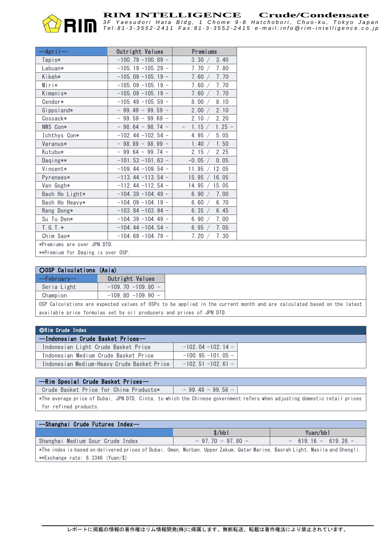

Tel:81-3-3552-2411 Fax:81-3-3552-2415 e-mail:info @rim-intelligence.co.jp

| $-\text{Apri}$ $\left  -- \right $ | Outright Values        | <b>Premiums</b>                         |
|------------------------------------|------------------------|-----------------------------------------|
| Tapis*                             | $-100, 79 - 100, 89 -$ | 3.30 /<br>3.40                          |
| Labuan*                            | $-105, 19 - 105, 29 -$ | 7.80<br>7.70 /                          |
| Kikeh*                             | $-105.09 - 105.19 -$   | 7.70<br>7.60                            |
| Miri*                              | $-105.09 - 105.19 -$   | 7.60<br>7.70                            |
| Kimanis*                           | $-105.09 - 105.19 -$   | 7.70<br>7.60                            |
| Cendor*                            | $-105.49 - 105.59 -$   | 8.00<br>8.10                            |
| Gippsland*                         | $-99.49 - 99.59 -$     | 2.00<br>2.10                            |
| Cossack*                           | $-99.59 - 99.69 -$     | 2.10<br>2.20                            |
| NWS Con*                           | $-98.64 - 98.74 -$     | $1.25 -$<br>1.15 /<br>$\qquad \qquad -$ |
| Ichthys Con*                       | $-102.44 - 102.54 -$   | 5.05<br>4.95                            |
| Varanus*                           | $-98.89 - 98.99 -$     | 1.50<br>1.40 /                          |
| Kutubu*                            | $-99.64 - 99.74 -$     | 2.25<br>2.15 /                          |
| Daqing**                           | $-101.53 - 101.63 -$   | $-0.05$ /<br>0.05                       |
| Vincent*                           | $-109.44 - 109.54 -$   | 11.95 / 12.05                           |
| Pyrenees*                          | $-113.44 - 113.54 -$   | 15.95 / 16.05                           |
| Van Gogh*                          | $-112.44 - 112.54 -$   | 15.05<br>14.95 $/$                      |
| Bach Ho Light*                     | $-104.39 - 104.49 -$   | 7.00<br>6.90                            |
| Bach Ho Heavy*                     | $-104.09 - 104.19 -$   | 6.70<br>6.60                            |
| Rang Dong*                         | $-103.84 - 103.94 -$   | 6.35 $/$<br>6.45                        |
| Su Tu Den*                         | $-104.39 - 104.49 -$   | 7.00<br>6.90                            |
| $T. G. T. *$                       | $-104.44 - 104.54 -$   | 7.05<br>6.95 $/$                        |
| Chim Sao*                          | $-104.69 - 104.79 -$   | 7.30<br>7.20 /                          |
| *Premiums are over JPN DTD.        |                        |                                         |
|                                    |                        |                                         |

\*\*Premium for Daqing is over OSP.

| <b>OOSP Calculations (Asia)</b> |                      |                                                                                                                        |
|---------------------------------|----------------------|------------------------------------------------------------------------------------------------------------------------|
| --Februarv--                    | Outright Values      |                                                                                                                        |
| Seria Light                     | $-109.70 - 109.80 -$ |                                                                                                                        |
| Champion                        | $-109.80 - 109.90 -$ |                                                                                                                        |
|                                 |                      | OSP Calculations are expected values of OSPs to be applied in the current month and are calculated based on the latest |

available price formulas set by oil producers and prices of JPN DTD.

| ∣ ©Rim Crude Index                         |                             |  |
|--------------------------------------------|-----------------------------|--|
| --Indonesian Crude Basket Prices--         |                             |  |
| Indonesian Light Crude Basket Price        | $-102.04 - 102.14 -$        |  |
| Indonesian Medium Crude Basket Price       | $-100.95 - 101.05 -$        |  |
| Indonesian Medium-Heavy Crude Basket Price | $-102$ , 51 $-102$ , 61 $-$ |  |

#### --Rim Special Crude Basket Prices--

Crude Basket Price for China Products\*  $\vert$  - 99.48 - 99.58 -\*The average price of Dubai, JPN DTD, Cinta, to which the Chinese government refers when adjusting domestic retail prices for refined products.

| --Shanghai Crude Futures Index--                                                                                             |                    |                      |  |  |  |  |
|------------------------------------------------------------------------------------------------------------------------------|--------------------|----------------------|--|--|--|--|
|                                                                                                                              | s/bbl              | Yuan/bbl             |  |  |  |  |
| Shanghai Medium Sour Crude Index                                                                                             | $-97,70 - 97,80 -$ | $-619.16 - 619.26 -$ |  |  |  |  |
| *The index is based on delivered prices of Dubai, Oman, Murban, Upper Zakum, Qatar Marine, Basrah Light, Masila and Shengli. |                    |                      |  |  |  |  |
| **Exchange rate: 6.3346 (Yuan/\$)                                                                                            |                    |                      |  |  |  |  |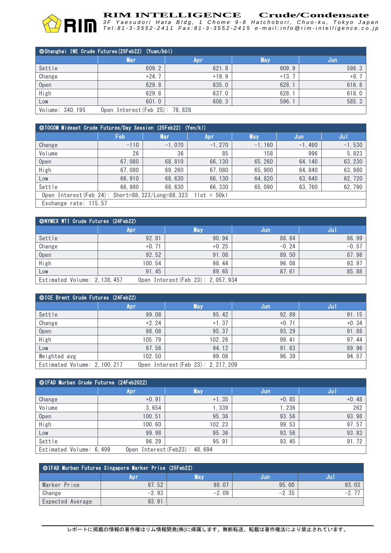

**RIM INTELLIGENCE** Crude/Condensate<br>3F Yaesudori Hata Bldg, 1 Chome 9-8 Hatchobori, Chuo-ku, Tokyo Japar. Tel:81-3-3552-2411 Fax:81-3-3552-2415 e-mail:info @rim-intelligence.co.jp

| © Shanghai INE Crude Futures (25Feb22) (Yuan/bbl) |                                |         |            |       |  |  |
|---------------------------------------------------|--------------------------------|---------|------------|-------|--|--|
|                                                   | Mari                           | Apr     | <b>May</b> | /Jun  |  |  |
| Settle                                            | 609.2                          | 621.8   | 609.9      | 598.3 |  |  |
| Change                                            | $+24.7$                        | $+19.9$ | $+13.7$    | $+8.$ |  |  |
| Open                                              | 629.8                          | 635.0   | 628.1      | 616.8 |  |  |
| High                                              | 629.8                          | 637.0   | 628.1      | 618.0 |  |  |
| Low                                               | 601.0                          | 608.3   | 596.1      | 585.3 |  |  |
| Volume: 340, 195                                  | Open Interest (Feb 25): 78,828 |         |            |       |  |  |

| ©TOCOM Mideast Crude Futures/Day Session (25Feb22) (Yen/kl)       |        |          |           |            |          |          |  |
|-------------------------------------------------------------------|--------|----------|-----------|------------|----------|----------|--|
|                                                                   | Feb    | Mar      | 'Apr      | <b>May</b> | Jun      | Jul      |  |
| Change                                                            | $-110$ | $-1,070$ | $-1, 270$ | $-1, 160$  | $-1,460$ | $-1,530$ |  |
| Volume                                                            | 26     | 36       | 85        | 158        | 996      | 5,823    |  |
| 0 <sub>pen</sub>                                                  | 67.080 | 68.810   | 66, 130   | 65, 260    | 64.140   | 63, 230  |  |
| High                                                              | 67.080 | 69.260   | 67.080    | 65,900     | 64.840   | 63,980   |  |
| Low                                                               | 66,910 | 68, 630  | 66, 130   | 64, 820    | 63, 640  | 62, 720  |  |
| Settle                                                            | 66.980 | 68.630   | 66.330    | 65,090     | 63.760   | 62,790   |  |
| Open Interest (Feb 24): Short=88, $323$ /Long=88, 323 1lot = 50kl |        |          |           |            |          |          |  |
| Exchange rate: 115.57                                             |        |          |           |            |          |          |  |

| <b>ONYMEX WTI Crude Futures (24Feb22)</b>                            |         |            |         |         |  |  |  |
|----------------------------------------------------------------------|---------|------------|---------|---------|--|--|--|
|                                                                      | Apr     | <b>May</b> | Jun     | Jul     |  |  |  |
| Settle                                                               | 92.81   | 90.94      | 88.84   | 86.99   |  |  |  |
| Change                                                               | $+0.71$ | $+0.25$    | $-0.24$ | $-0.57$ |  |  |  |
| Open                                                                 | 92.52   | 91.08      | 89.50   | 87.98   |  |  |  |
| High                                                                 | 100.54  | 98.44      | 96.08   | 93.97   |  |  |  |
| Low                                                                  | 91.45   | 89.65      | 87.61   | 85.88   |  |  |  |
| Open Interest (Feb 23): 2, 057, 934<br>Estimated Volume: 2, 138, 457 |         |            |         |         |  |  |  |

| ©ICE Brent Crude Futures (24Feb22)                                   |            |            |         |         |  |  |
|----------------------------------------------------------------------|------------|------------|---------|---------|--|--|
|                                                                      | <b>Apr</b> | <b>May</b> | Jun     | Jul.    |  |  |
| Settle                                                               | 99.08      | 95.42      | 92.89   | 91.15   |  |  |
| Change                                                               | $+2.24$    | $+1.37$    | $+0.71$ | $+0.34$ |  |  |
| Open                                                                 | 98.08      | 95.37      | 93.29   | 91.88   |  |  |
| High                                                                 | 105.79     | 102.26     | 99.41   | 97.44   |  |  |
| Low                                                                  | 97.56      | 94.12      | 91.63   | 89.96   |  |  |
| Weighted avg                                                         | 102.50     | 99.08      | 96.39   | 94.57   |  |  |
| Estimated Volume: 2, 100, 217<br>Open Interest (Feb 23): 2, 217, 209 |            |            |         |         |  |  |

| © IFAD Murban Crude Futures (24Feb2022) |            |                                |         |         |  |  |  |
|-----------------------------------------|------------|--------------------------------|---------|---------|--|--|--|
|                                         | <b>Apr</b> | <b>May</b>                     | Jun     | Jul     |  |  |  |
| Change                                  | $+0.91$    | $+1.35$                        | $+0.85$ | $+0.48$ |  |  |  |
| Volume                                  | 3,654      | 1,339                          | ,236    | 262     |  |  |  |
| Open                                    | 100.51     | 95.36                          | 93.56   | 93.98   |  |  |  |
| High                                    | 100.60     | 102.23                         | 99.53   | 97.57   |  |  |  |
| Low                                     | 99.98      | 95.36                          | 93.56   | 93.83   |  |  |  |
| Settle                                  | 96.29      | 95.91                          | 93.45   | 91.72   |  |  |  |
| Estimated Volume: 6,499                 |            | Open Interest (Feb23): 48, 694 |         |         |  |  |  |

| ○IFAD Murban Futures Singapore Marker Price (25Feb22) |         |         |         |       |  |  |  |  |
|-------------------------------------------------------|---------|---------|---------|-------|--|--|--|--|
|                                                       | Apr     | May     | Jun     |       |  |  |  |  |
| Marker Price                                          | 97.52   | 98.07   | 95.00   | 93.03 |  |  |  |  |
| Change                                                | $-2.93$ | $-2.09$ | $-2.35$ | $-$ . |  |  |  |  |
| Expected Average                                      | 93.91   |         |         |       |  |  |  |  |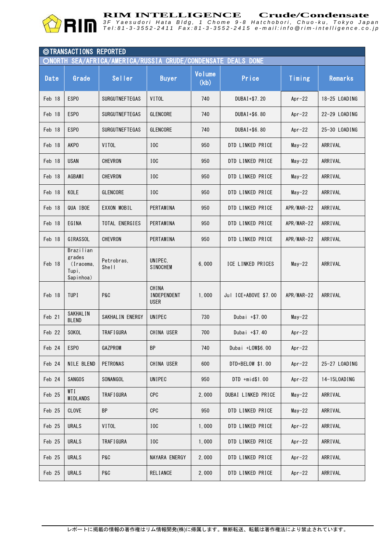

Tel:81-3-3552-2411 Fax:81-3-3552-2415 e-mail:info @rim-intelligence.co.jp

| <b>©TRANSACTIONS REPORTED</b><br>SEA/AFRICA/AMERICA/RUSSIA CRUDE/CONDENSATE DEALS DONE<br>ONORTH |                                                        |                       |                                     |                       |                      |              |               |  |
|--------------------------------------------------------------------------------------------------|--------------------------------------------------------|-----------------------|-------------------------------------|-----------------------|----------------------|--------------|---------------|--|
| Date                                                                                             | Grade                                                  | Seller                | <b>Buyer</b>                        | <b>Volume</b><br>(kb) | Price                |              | Remarks       |  |
| Feb 18                                                                                           | ESP <sub>0</sub>                                       | SURGUTNEFTEGAS        | VITOL                               | 740                   | DUBA1+\$7.20         | Apr $-22$    | 18-25 LOADING |  |
| Feb 18                                                                                           | ESP <sub>0</sub>                                       | <b>SURGUTNEFTEGAS</b> | <b>GLENCORE</b>                     | 740<br>DUBAI+\$6.80   |                      | Apr $-22$    | 22-29 LOADING |  |
| Feb 18                                                                                           | ESP <sub>0</sub>                                       | SURGUTNEFTEGAS        | <b>GLENCORE</b>                     | 740                   | DUBA1+\$6.80         | Apr $-22$    | 25-30 LOADING |  |
| Feb 18                                                                                           | <b>AKPO</b>                                            | <b>VITOL</b>          | IOC                                 | 950                   | DTD LINKED PRICE     | $May-22$     | ARRIVAL       |  |
| Feb 18                                                                                           | <b>USAN</b>                                            | CHEVRON               | I <sub>0</sub> C                    | 950                   | DTD LINKED PRICE     | $May-22$     | ARRIVAL       |  |
| Feb 18                                                                                           | <b>AGBAMI</b>                                          | CHEVRON               | I <sub>0</sub> C                    | 950                   | DTD LINKED PRICE     | $May-22$     | ARRIVAL       |  |
| Feb 18                                                                                           | KOLE                                                   | <b>GLENCORE</b>       | I <sub>0</sub> C                    | 950                   | DTD LINKED PRICE     | $May-22$     | ARRIVAL       |  |
| Feb 18                                                                                           | QUA IBOE                                               | EXXON MOBIL           | PERTAMINA                           | 950                   | DTD LINKED PRICE     | APR/MAR-22   | ARRIVAL       |  |
| Feb 18                                                                                           | EGINA                                                  | TOTAL ENERGIES        | PERTAMINA                           | 950                   | DTD LINKED PRICE     | APR/MAR-22   | ARRIVAL       |  |
| Feb 18                                                                                           | GIRASSOL                                               | CHEVRON               | PERTAMINA                           | 950                   | DTD LINKED PRICE     | APR/MAR-22   | ARRIVAL       |  |
| Feb 18                                                                                           | Brazilian<br>grades<br>(Iracema,<br>Tupi,<br>Sapinhoa) | Petrobras.<br>Shel1   | UNIPEC.<br><b>SINOCHEM</b>          | 6,000                 | ICE LINKED PRICES    | $May-22$     | ARRIVAL       |  |
| Feb 18                                                                                           | <b>TUPI</b>                                            | <b>P&amp;C</b>        | CHINA<br>INDEPENDENT<br><b>USER</b> | 1,000                 | Jul ICE+ABOVE \$7.00 | $APR/MAR-22$ | ARRIVAL       |  |
| Feb 21                                                                                           | <b>SAKHALIN</b><br><b>BLEND</b>                        | SAKHALIN ENERGY       | UNIPEC                              | 730                   | Dubai +\$7.00        | $May-22$     |               |  |
| Feb 22                                                                                           | SOKOL                                                  | <b>TRAFIGURA</b>      | CHINA USER                          | 700                   | Dubai +\$7.40        | Apr $-22$    |               |  |
| Feb 24                                                                                           | ESP <sub>0</sub>                                       | GAZPROM               | BP                                  | 740                   | Dubai +LOW\$6.00     | Apr $-22$    |               |  |
| Feb 24                                                                                           | NILE BLEND                                             | <b>PETRONAS</b>       | CHINA USER                          | 600                   | DTD+BELOW \$1.00     | Apr $-22$    | 25-27 LOADING |  |
| Feb 24                                                                                           | <b>SANGOS</b>                                          | SONANGOL              | UNIPEC                              | 950                   | DTD +mid\$1.00       | Apr $-22$    | 14-15L0ADING  |  |
| Feb 25                                                                                           | WTI<br>MIDLANDS                                        | TRAF I GURA           | <b>CPC</b>                          | 2,000                 | DUBAI LINKED PRICE   | $May-22$     | ARRIVAL       |  |
| Feb 25                                                                                           | <b>CLOVE</b>                                           | <b>BP</b>             | <b>CPC</b>                          | 950                   | DTD LINKED PRICE     | $May-22$     | ARRIVAL       |  |
| Feb 25                                                                                           | <b>URALS</b>                                           | VITOL                 | $_{\rm loc}$                        | 1,000                 | DTD LINKED PRICE     | Apr $-22$    | ARRIVAL       |  |
| Feb 25                                                                                           | <b>URALS</b>                                           | TRAF I GURA           | $_{\rm loc}$                        | 1,000                 | DTD LINKED PRICE     | Apr $-22$    | ARRIVAL       |  |
| Feb 25                                                                                           | <b>URALS</b>                                           | <b>P&amp;C</b>        | NAYARA ENERGY                       | 2,000                 | DTD LINKED PRICE     | Apr $-22$    | ARRIVAL       |  |
| Feb 25                                                                                           | <b>URALS</b>                                           | P&C                   | <b>RELIANCE</b>                     | 2,000                 | DTD LINKED PRICE     | $Apr-22$     | ARRIVAL       |  |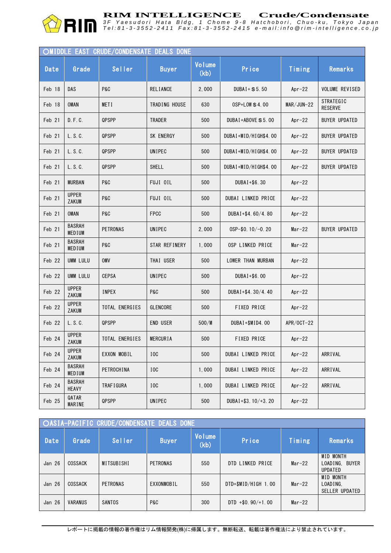

**RIM INTELLIGENCE** Crude/Condensate<br>3F Yaesudori Hata Bldg, 1 Chome 9-8 Hatchobori, Chuo-ku, Tokyo Japar. Tel:81-3-3552-2411 Fax:81-3-3552-2415 e-mail:info @rim-intelligence.co.jp

|        |                         | OMIDDLE EAST CRUDE/CONDENSATE DEALS DONE |                  |                       |                       |              |                                    |
|--------|-------------------------|------------------------------------------|------------------|-----------------------|-----------------------|--------------|------------------------------------|
| Date   | Grade                   | <b>Seller</b>                            | <b>Buyer</b>     | <b>Volume</b><br>(kb) | Price                 | Timing       | Remarks                            |
| Feb 18 | <b>DAS</b>              | P&C                                      | <b>RELIANCE</b>  | 2,000                 | $DUBAI + $5.50$       | Apr $-22$    | <b>VOLUME REVISED</b>              |
| Feb 18 | <b>OMAN</b>             | METI                                     | TRADING HOUSE    | 630                   | $OSP+LOW \$ \$4.00    | $MAR/JUN-22$ | <b>STRATEGIC</b><br><b>RESERVE</b> |
| Feb 21 | D. F. C.                | QPSPP                                    | <b>TRADER</b>    | 500                   | $DUBAI+ABOVE $ 5.00$  | Apr $-22$    | <b>BUYER UPDATED</b>               |
| Feb 21 | L. S. C.                | QPSPP                                    | SK ENERGY        | 500                   | DUBAI+MID/HIGH\$4.00  | Apr $-22$    | <b>BUYER UPDATED</b>               |
| Feb 21 | L. S. C.                | QPSPP                                    | UNIPEC           | 500                   | DUBAI+MID/HIGH\$4.00  | Apr $-22$    | <b>BUYER UPDATED</b>               |
| Feb 21 | L. S. C.                | QPSPP                                    | SHELL            | 500                   | DUBAI+MID/HIGH\$4.00  | Apr $-22$    | <b>BUYER UPDATED</b>               |
| Feb 21 | <b>MURBAN</b>           | P&C                                      | FUJI OIL         | 500                   | DUBA1+\$6.30          | Apr $-22$    |                                    |
| Feb 21 | <b>UPPER</b><br>ZAKUM   | P&C                                      | FUJI OIL         | 500                   | DUBAI LINKED PRICE    | Apr $-22$    |                                    |
| Feb 21 | <b>OMAN</b>             | <b>P&amp;C</b>                           | <b>FPCC</b>      | 500                   | DUBAI+\$4.60/4.80     | Apr $-22$    |                                    |
| Feb 21 | <b>BASRAH</b><br>MEDIUM | <b>PETRONAS</b>                          | UNIPEC           | 2,000                 | $0$ SP-\$0. 10/-0. 20 | $Mar-22$     | <b>BUYER UPDATED</b>               |
| Feb 21 | <b>BASRAH</b><br>MEDIUM | <b>P&amp;C</b>                           | STAR REFINERY    | 1,000                 | OSP LINKED PRICE      | $Mar-22$     |                                    |
| Feb 22 | <b>UMM LULU</b>         | OMV                                      | THAI USER        | 500                   | LOWER THAN MURBAN     | Apr $-22$    |                                    |
| Feb 22 | UMM LULU                | <b>CEPSA</b>                             | UNIPEC           | 500                   | DUBA1+\$6.00          | Apr $-22$    |                                    |
| Feb 22 | <b>UPPER</b><br>ZAKUM   | <b>INPEX</b>                             | P&C              | 500                   | DUBAI+\$4.30/4.40     | Apr $-22$    |                                    |
| Feb 22 | <b>UPPER</b><br>ZAKUM   | TOTAL ENERGIES                           | <b>GLENCORE</b>  | 500                   | FIXED PRICE           | Apr $-22$    |                                    |
| Feb 22 | L. S. C.                | QPSPP                                    | <b>END USER</b>  | 500/M                 | DUBAI+\$MID4.00       | APR/0CT-22   |                                    |
| Feb 24 | <b>UPPER</b><br>ZAKUM   | TOTAL ENERGIES                           | <b>MERCURIA</b>  | 500                   | <b>FIXED PRICE</b>    | Apr $-22$    |                                    |
| Feb 24 | <b>UPPER</b><br>ZAKUM   | EXXON MOBIL                              | I <sub>0</sub> C | 500                   | DUBAI LINKED PRICE    | $Apr-22$     | ARRIVAL                            |
| Feb 24 | <b>BASRAH</b><br>MEDIUM | PETROCHINA                               | IOC              | 1,000                 | DUBAI LINKED PRICE    | $Apr-22$     | ARRIVAL                            |
| Feb 24 | <b>BASRAH</b><br>HEAVY  | TRAF I GURA                              | IOC              | 1,000                 | DUBAI LINKED PRICE    | $Apr-22$     | ARRIVAL                            |
| Feb 25 | QATAR<br>MARINE         | QPSPP                                    | UNIPEC           | 500                   | DUBAI+\$3.10/+3.20    | $Apr-22$     |                                    |

| <b>OASIA-PACIFIC CRUDE/CONDENSATE DEALS DONE</b> |                |                 |              |                       |                      |          |                                                          |  |  |
|--------------------------------------------------|----------------|-----------------|--------------|-----------------------|----------------------|----------|----------------------------------------------------------|--|--|
| Date                                             | Grade          | Seller          | <b>Buyer</b> | <b>Volume</b><br>(kb) | Price                | Timing   | Remarks                                                  |  |  |
| Jan 26                                           | <b>COSSACK</b> | MITSUBISHI      | PETRONAS     | 550                   | DTD LINKED PRICE     | $Mar-22$ | MID MONTH<br><b>BUYER</b><br>LOAD ING.<br><b>UPDATED</b> |  |  |
| Jan 26                                           | <b>COSSACK</b> | <b>PETRONAS</b> | EXXONMOBIL   | 550                   | DTD+\$MID/HIGH 1.00  | $Mar-22$ | <b>MID MONTH</b><br>LOADING.<br><b>SELLER UPDATED</b>    |  |  |
| Jan 26                                           | <b>VARANUS</b> | <b>SANTOS</b>   | P&C          | 300                   | DTD $+$ \$0.90/+1.00 | $Mar-22$ |                                                          |  |  |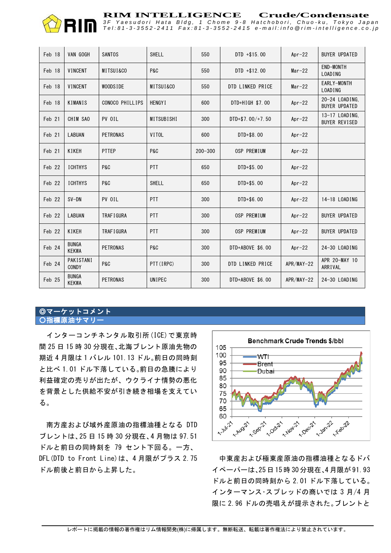

Tel:81-3-3552-2411 Fax:81-3-3552-2415 e-mail:info @rim-intelligence.co.jp

| Feb 18 | VAN GOGH                     | SANTOS          | <b>SHELL</b>   | 550         | $DTD + $15.00$   | Apr $-22$  | <b>BUYER UPDATED</b>                   |
|--------|------------------------------|-----------------|----------------|-------------|------------------|------------|----------------------------------------|
| Feb 18 | <b>VINCENT</b>               | MITSUI&CO       | P&C            | 550         | $DTD + $12.00$   | $Mar-22$   | <b>END-MONTH</b><br><b>LOADING</b>     |
| Feb 18 | VINCENT                      | WOODS IDE       | MITSUI&CO      | 550         | DTD LINKED PRICE | $Mar-22$   | EARLY-MONTH<br><b>LOADING</b>          |
| Feb 18 | KIMANIS                      | CONOCO PHILLIPS | <b>HENGY I</b> | 600         | DTD+HIGH \$7.00  | Apr $-22$  | 20-24 LOADING.<br><b>BUYER UPDATED</b> |
| Feb 21 | CHIM SAO                     | PV OIL          | MITSUBISHI     | 300         | DTD+\$7.00/+7.50 | Apr $-22$  | 13-17 LOADING,<br><b>BUYER REVISED</b> |
| Feb 21 | <b>LABUAN</b>                | PETRONAS        | VITOL          | 600         | $DTD + $8.00$    | Apr $-22$  |                                        |
| Feb 21 | KIKEH                        | <b>PTTEP</b>    | P&C            | $200 - 300$ | OSP PREMIUM      | Apr $-22$  |                                        |
| Feb 22 | <b>ICHTHYS</b>               | P&C             | PTT            | 650         | DTD+\$5.00       | Apr $-22$  |                                        |
| Feb 22 | <b>ICHTHYS</b>               | P&C             | <b>SHELL</b>   | 650         | DTD+\$5.00       | Apr $-22$  |                                        |
| Feb 22 | $SV-DN$                      | PV OIL          | PTT            | 300         | DTD+\$6.00       | $Apr-22$   | 14-18 LOADING                          |
| Feb 22 | <b>LABUAN</b>                | TRAF I GURA     | PTT            | 300         | OSP PREMIUM      | Apr $-22$  | <b>BUYER UPDATED</b>                   |
| Feb 22 | KIKEH                        | TRAF I GURA     | <b>PTT</b>     | 300         | OSP PREMIUM      | Apr $-22$  | <b>BUYER UPDATED</b>                   |
| Feb 24 | <b>BUNGA</b><br><b>KEKWA</b> | PETRONAS        | <b>P&amp;C</b> | 300         | DTD+ABOVE \$6.00 | Apr $-22$  | 24-30 LOADING                          |
| Feb 24 | PAKISTANI<br>CONDY           | P&C             | PTT (IRPC)     | 300         | DTD LINKED PRICE | APR/MAY-22 | APR 20-MAY 10<br>ARRIVAL               |
| Feb 25 | <b>BUNGA</b><br><b>KEKWA</b> | <b>PETRONAS</b> | UNIPEC         | 300         | DTD+ABOVE \$6.00 | APR/MAY-22 | 24-30 LOADING                          |

### ◎マーケットコメント ○指標原油サマリー

インターコンチネンタル取引所(ICE)で東京時 間 25 日 15 時 30 分現在、北海ブレント原油先物の 期近 4 月限は 1 バレル 101.13 ドル。前日の同時刻 と比べ 1.01 ドル下落している。前日の急騰により 利益確定の売りが出たが、ウクライナ情勢の悪化 を背景とした供給不安が引き続き相場を支えてい る。

南方産および域外産原油の指標油種となる DTD ブレントは、25 日 15 時 30 分現在、4 月物は 97.51 ドルと前日の同時刻を 79 セント下回る。一方、 DFL(DTD to Front Line)は、4月限がプラス 2.75 ドル前後と前日から上昇した。



中東産および極東産原油の指標油種となるドバ イペーパーは、25 日 15 時 30 分現在、4 月限が 91.93 ドルと前日の同時刻から 2.01 ドル下落している。 インターマンス・スプレッドの商いでは 3 月/4 月 限に 2.96 ドルの売唱えが提示された。ブレントと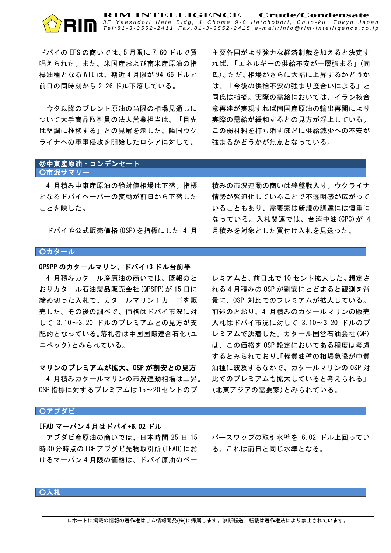#### **RIM INTELLIGENCE Crude/Condensate** *3 F Y a e s u d o r i H a t a B l d g , 1 C h o m e 9 - 8 H a t c h o b o r i , C h u o - k u , T o k y o J a p a n* Tel:81-3-3552-2411 Fax:81-3-3552-2415 e-mail:info @rim-intelligence.co.jp

ドバイの EFS の商いでは、5 月限に 7.60 ドルで買 唱えられた。また、米国産および南米産原油の指 標油種となる WTI は、期近 4 月限が 94.66 ドルと 前日の同時刻から 2.26 ドル下落している。

今夕以降のブレント原油の当限の相場見通しに ついて大手商品取引員の法人営業担当は、「目先 は堅調に推移する」との見解を示した。隣国ウク ライナへの軍事侵攻を開始したロシアに対して、

主要各国がより強力な経済制裁を加えると決定す れば、「エネルギーの供給不安が一層強まる」(同 氏)。ただ、相場がさらに大幅に上昇するかどうか は、「今後の供給不安の強まり度合いによる」と 同氏は指摘。実際の需給においては、イラン核合 意再建が実現すれば同国産原油の輸出再開により 実際の需給が緩和するとの見方が浮上している。 この弱材料を打ち消すほどに供給減少への不安が 強まるかどうかが焦点となっている。

#### ◎中東産原油・コンデンセート ○市況サマリー

4 月積み中東産原油の絶対値相場は下落。指標 となるドバイペーパーの変動が前日から下落した ことを映した。

ドバイや公式販売価格(OSP)を指標にした 4 月

積みの市況連動の商いは終盤戦入り。ウクライナ 情勢が緊迫化していることで不透明感が広がって いることもあり、需要家は新規の調達には慎重に なっている。入札関連では、台湾中油(CPC)が 4 月積みを対象とした買付け入札を見送った。

#### **〇カタール**

#### QPSPP のカタールマリン、ドバイ+3 ドル台前半

4 月積みカタール産原油の商いでは、既報のと おりカタール石油製品販売会社(QPSPP)が 15 日に 締め切った入札で、カタールマリン 1 カーゴを販 売した。その後の調べで、価格はドバイ市況に対 して 3.10~3.20 ドルのプレミアムとの見方が支 配的となっている。落札者は中国国際連合石化(ユ ニペック)とみられている。

#### マリンのプレミアムが拡大、OSP が割安との見方

4 月積みカタールマリンの市況連動相場は上昇。 OSP 指標に対するプレミアムは 15~20 セントのプ

レミアムと、前日比で 10 セント拡大した。想定さ れる 4 月積みの OSP が割安にとどまると観測を背 景に、OSP 対比でのプレミアムが拡大している。 前述のとおり、4 月積みのカタールマリンの販売 入札はドバイ市況に対して 3.10~3.20 ドルのプ レミアムで決着した。カタール国営石油会社(QP) は、この価格を OSP 設定においてある程度は考慮 するとみられており、「軽質油種の相場急騰が中質 油種に波及するなかで、カタールマリンの OSP 対 比でのプレミアムも拡大していると考えられる」 (北東アジアの需要家)とみられている。

#### ○アブダビ

#### IFAD マーバン 4 月はドバイ+6.02 ドル

アブダビ産原油の商いでは、日本時間 25 日 15 時30分時点のICEアブダビ先物取引所(IFAD)にお けるマーバン 4 月限の価格は、ドバイ原油のペー

パースワップの取引水準を 6.02 ドル上回ってい る。これは前日と同じ水準となる。

### ○入札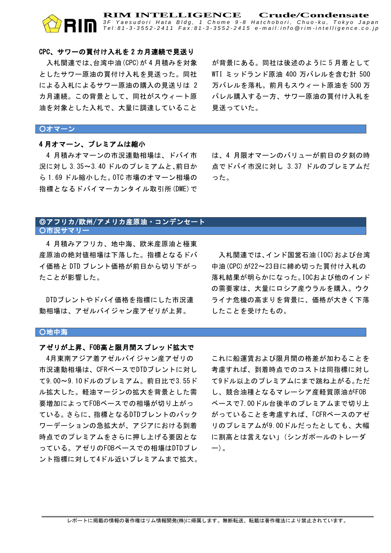#### CPC、サワーの買付け入札を 2 カ月連続で見送り

入札関連では、台湾中油(CPC)が 4 月積みを対象 としたサワー原油の買付け入札を見送った。同社 による入札によるサワー原油の購入の見送りは 2 カ月連続。この背景として、同社がスウィート原 油を対象とした入札で、大量に調達していること

が背景にある。同社は後述のように 5 月着として WTI ミッドランド原油 400 万バレルを含む計 500 万バレルを落札。前月もスウィート原油を 500 万 バレル購入する一方、サワー原油の買付け入札を 見送っていた。

**RIM INTELLIGENCE** Crude/Condensate<br>3F Yaesudori Hata Bldg, 1 Chome 9-8 Hatchobori, Chuo-ku, Tokyo Japar. Tel:81-3-3552-2411 Fax:81-3-3552-2415 e-mail:info @rim-intelligence.co.jp

#### ○オマーン

#### 4 月オマーン、プレミアムは縮小

4 月積みオマーンの市況連動相場は、ドバイ市 況に対し 3.35~3.40 ドルのプレミアムと、前日か ら 1.69 ドル縮小した。OTC 市場のオマーン相場の 指標となるドバイマーカンタイル取引所(DME)で は、4 月限オマーンのバリューが前日の夕刻の時 点でドバイ市況に対し 3.37 ドルのプレミアムだ った。

#### ◎アフリカ/欧州/アメリカ産原油・コンデンセート ○市況サマリー

4 月積みアフリカ、地中海、欧米産原油と極東 産原油の絶対値相場は下落した。指標となるドバ イ価格と DTD ブレント価格が前日から切り下がっ たことが影響した。

DTDブレントやドバイ価格を指標にした市況連 動相場は、アゼルバイジャン産アゼリが上昇。

入札関連では、インド国営石油(IOC)および台湾 中油(CPC)が22~23日に締め切った買付け入札の 落札結果が明らかになった。IOCおよび他のインド の需要家は、大量にロシア産ウラルを購入。ウク ライナ危機の高まりを背景に、価格が大きく下落 したことを受けたもの。

#### ○地中海

#### $\mathbf{r}$ アゼリが上昇、FOB高と限月間スプレッド拡大で

4月東南アジア着アゼルバイジャン産アゼリの 市況連動相場は、CFRベースでDTDブレントに対し て9.00~9.10ドルのプレミアム。前日比で3.55ド ル拡大した。軽油マージンの拡大を背景とした需 要増加によってFOBベースでの相場が切り上がっ ている。さらに、指標となるDTDブレントのバック ワーデーションの急拡大が、アジアにおける到着 時点でのプレミアムをさらに押し上げる要因とな っている。アゼリのFOBベースでの相場はDTDブレ ント指標に対して4ドル近いプレミアムまで拡大。

これに船運賃および限月間の格差が加わることを 考慮すれば、到着時点でのコストは同指標に対し て9ドル以上のプレミアムにまで跳ね上がる。ただ し、競合油種となるマレーシア産軽質原油がFOB ベースで7.00ドル台後半のプレミアムまで切り上 がっていることを考慮すれば、「CFRベースのアゼ リのプレミアムが9.00ドルだったとしても、大幅 に割高とは言えない」(シンガポールのトレーダ ー)。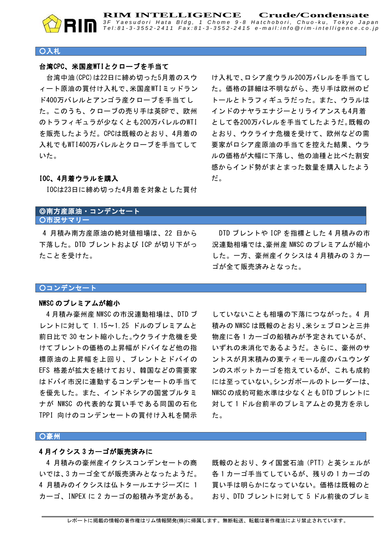

**RIM INTELLIGENCE** Crude/Condensate<br>3F Yaesudori Hata Bldg, 1 Chome 9-8 Hatchobori, Chuo-ku, Tokyo Japar. Tel:81-3-3552-2411 Fax:81-3-3552-2415 e-mail:info @rim-intelligence.co.jp

#### ○入札

#### $\frac{1}{2}$ 台湾CPC、米国産WTIとクローブを手当て

台湾中油(CPC)は22日に締め切った5月着のスウ ィート原油の買付け入札で、米国産WTIミッドラン ド400万バレルとアンゴラ産クローブを手当てし た。このうち、クローブの売り手は英BPで、欧州 のトラフィギュラが少なくとも200万バレルのWTI を販売したようだ。CPCは既報のとおり、4月着の 入札でもWTI400万バレルとクローブを手当てして いた。

け入札で、ロシア産ウラル200万バレルを手当てし た。価格の詳細は不明ながら、売り手は欧州のビ トールとトラフィギュラだった。また、ウラルは インドのナヤラエナジーとリライアンスも4月着 として各200万バレルを手当てしたようだ。既報の とおり、ウクライナ危機を受けて、欧州などの需 要家がロシア産原油の手当てを控えた結果、ウラ ルの価格が大幅に下落し、他の油種と比べた割安 感からインド勢がまとまった数量を購入したよう だ。

#### IOC、4月着ウラルを購入

IOCは23日に締め切った4月着を対象とした買付

#### ◎南方産原油・コンデンセート ○市況サマリー

 4 月積み南方産原油の絶対値相場は、22 日から 下落した。DTD ブレントおよび ICP が切り下がっ たことを受けた。

DTD ブレントや ICP を指標とした 4 月積みの市 況連動相場では、豪州産 NWSC のプレミアムが縮小 した。一方、豪州産イクシスは 4 月積みの 3 カー ゴが全て販売済みとなった。

#### ○コンデンセート

#### NWSC のプレミアムが縮小

4 月積み豪州産 NWSC の市況連動相場は、DTD ブ レントに対して 1.15~1.25 ドルのプレミアムと 前日比で 30 セント縮小した。ウクライナ危機を受 けてブレントの価格の上昇幅がドバイなど他の指 標原油の上昇幅を上回り、ブレントとドバイの EFS 格差が拡大を続けており、韓国などの需要家 はドバイ市況に連動するコンデンセートの手当て を優先した。また、インドネシアの国営プルタミ ナが NWSC の代表的な買い手である同国の石化 TPPI 向けのコンデンセートの買付け入札を開示

していないことも相場の下落につながった。4 月 積みの NWSC は既報のとおり、米シェブロンと三井 物産に各 1 カーゴの船積みが予定されているが、 いずれの未消化であるようだ。さらに、豪州のサ ントスが月末積みの東ティモール産のバユウンダ ンのスポットカーゴを抱えているが、これも成約 には至っていない。シンガポールのトレーダーは、 NWSC の成約可能水準は少なくとも DTD ブレントに 対して1ドル台前半のプレミアムとの見方を示し た。

#### ○豪州

#### 4 月イクシス 3 カーゴが販売済みに

4 月積みの豪州産イクシスコンデンセートの商 いでは、3 カーゴ全てが販売済みとなったようだ。 4 月積みのイクシスは仏トタールエナジーズに 1 カーゴ、INPEX に 2 カーゴの船積み予定がある。

既報のとおり、タイ国営石油(PTT)と英シェルが 各 1 カーゴ手当てしているが、残りの 1 カーゴの 買い手は明らかになっていない。価格は既報のと おり、DTD ブレントに対して 5 ドル前後のプレミ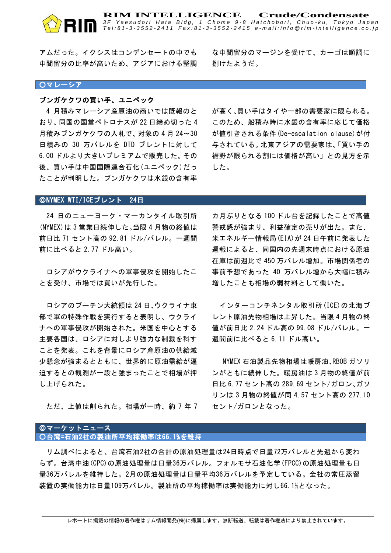アムだった。イクシスはコンデンセートの中でも 中間留分の比率が高いため、アジアにおける堅調

な中間留分のマージンを受けて、カーゴは順調に 捌けたようだ。

**RIM INTELLIGENCE** Crude/Condensate<br>3F Yaesudori Hata Bldg, 1 Chome 9-8 Hatchobori, Chuo-ku, Tokyo Japar. Tel:81-3-3552-2411 Fax:81-3-3552-2415 e-mail:info @rim-intelligence.co.jp

#### ○マレーシア

#### ブンガケクワの買い手、ユニペック

4 月積みマレーシア産原油の商いでは既報のと おり、同国の国営ペトロナスが 22 日締め切った 4 月積みブンガケクワの入札で、対象の 4 月 24~30 日積みの 30 万バレルを DTD ブレントに対して 6.00 ドルより大きいプレミアムで販売した。その 後、買い手は中国国際連合石化(ユニペック)だっ たことが判明した。ブンガケクワは水銀の含有率

が高く、買い手はタイや一部の需要家に限られる。 このため、船積み時に水銀の含有率に応じて価格 が値引きされる条件(De-escalation clause)が付 与されている。北東アジアの需要家は、「買い手の 裾野が限られる割には価格が高い」との見方を示 した。

#### ◎NYMEX WTI/ICEブレント 24日

24 日のニューヨーク・マーカンタイル取引所 (NYMEX)は 3 営業日続伸した。当限 4 月物の終値は 前日比 71 セント高の 92.81 ドル/バレル。一週間 前に比べると 2.77 ドル高い。

ロシアがウクライナへの軍事侵攻を開始したこ とを受け、市場では買いが先行した。

ロシアのプーチン大統領は 24 日、ウクライナ東 部で軍の特殊作戦を実行すると表明し、ウクライ ナへの軍事侵攻が開始された。米国を中心とする 主要各国は、ロシアに対しより強力な制裁を科す ことを発表。これを背景にロシア産原油の供給減 少懸念が強まるとともに、世界的に原油需給が逼 迫するとの観測が一段と強まったことで相場が押 し上げられた。

ただ、上値は削られた。相場が一時、約 7 年 7

カ月ぶりとなる 100 ドル台を記録したことで高値 警戒感が強まり、利益確定の売りが出た。また、 米エネルギー情報局(EIA)が 24 日午前に発表した 週報によると、同国内の先週末時点における原油 在庫は前週比で 450 万バレル増加。市場関係者の 事前予想であった 40 万バレル増から大幅に積み 増したことも相場の弱材料として働いた。

インターコンチネンタル取引所(ICE)の北海ブ レント原油先物相場は上昇した。当限 4 月物の終 値が前日比 2.24 ドル高の 99.08 ドル/バレル。一 週間前に比べると 6.11 ドル高い。

NYMEX 石油製品先物相場は暖房油、RBOB ガソリ ンがともに続伸した。暖房油は 3 月物の終値が前 日比 6.77 セント高の 289.69 セント/ガロン、ガソ リンは 3 月物の終値が同 4.57 セント高の 277.10 セント/ガロンとなった。

#### ◎マーケットニュース ○台湾=石油2社の製油所平均稼働率は66.1%を維持

リム調べによると、台湾石油2社の合計の原油処理量は24日時点で日量72万バレルと先週から変わ らず。台湾中油(CPC)の原油処理量は日量36万バレル。フォルモサ石油化学(FPCC)の原油処理量も日 量36万バレルを維持した。2月の原油処理量は日量平均36万バレルを予定している。全社の常圧蒸留 装置の実働能力は日量109万バレル。製油所の平均稼働率は実働能力に対し66.1%となった。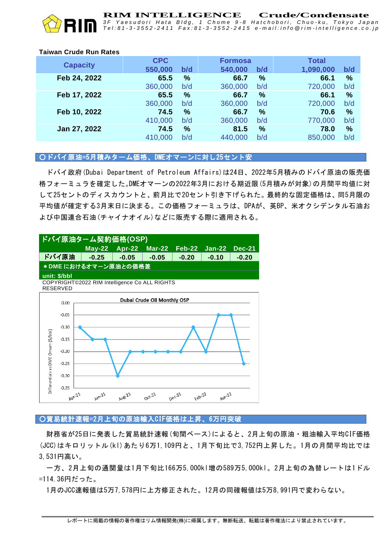

**RIM INTELLIGENCE** Crude/Condensate<br>3F Yaesudori Hata Bldg, 1 Chome 9-8 Hatchobori, Chuo-ku, Tokyo Jap *3 F Y a e s u d o r i H a t a B l d g , 1 C h o m e 9 - 8 H a t c h o b o r i , C h u o - k u , T o k y o J a p a n* Tel: 81-3-3552-2411 Fax: 81-3-3552-2415 e-mail: info@rim-intelligence.co.jp

#### **Taiwan Crude Run Rates**

| <b>CPC</b> |               |         |     | <b>Total</b>   |               |
|------------|---------------|---------|-----|----------------|---------------|
| 550,000    | b/d           | 540,000 | b/d | 1,090,000      | b/d           |
| 65.5       | %             | 66.7    | %   | 66.1           | $\%$          |
| 360,000    | b/d           | 360,000 | b/d | 720,000        | b/d           |
| 65.5       | $\frac{9}{6}$ | 66.7    | %   | 66.1           | $\frac{0}{0}$ |
| 360,000    | b/d           | 360,000 | b/d | 720,000        | b/d           |
| 74.5       | $\frac{9}{6}$ | 66.7    | %   | 70.6           | $\frac{9}{6}$ |
| 410,000    | b/d           | 360,000 | b/d | 770,000        | b/d           |
| 74.5       | %             | 81.5    | %   | 78.0           | %             |
| 410,000    | b/d           | 440,000 | b/d | 850,000        | b/d           |
|            |               |         |     | <b>Formosa</b> |               |

### ○ドバイ原油=5月積みターム価格、DMEオマーンに対し25セント安

ドバイ政府(Dubai Department of Petroleum Affairs)は24日、2022年5月積みのドバイ原油の販売価 格フォーミュラを確定した。DMEオマーンの2022年3月における期近限(5月積みが対象)の月間平均値に対 して25セントのディスカウントと、前月比で20セント引き下げられた。最終的な固定価格は、同5月限の 平均値が確定する3月末日に決まる。この価格フォーミュラは、DPAが、英BP、米オクシデンタル石油お よび中国連合石油(チャイナオイル)などに販売する際に適用される。



○貿易統計速報=2月上旬の原油輸入CIF価格は上昇、6万円突破

財務省が25日に発表した貿易統計速報(旬間ベース)によると、2月上旬の原油・粗油輸入平均CIF価格 (JCC)はキロリットル(kl)あたり6万1,109円と、1月下旬比で3,752円上昇した。1月の月間平均比では 3,531円高い。

一方、2月上旬の通関量は1月下旬比166万5,000kl増の589万5,000kl。2月上旬の為替レートは1ドル =114.36円だった。

1月のJCC速報値は5万7,578円に上方修正された。12月の同確報値は5万8,991円で変わらない。